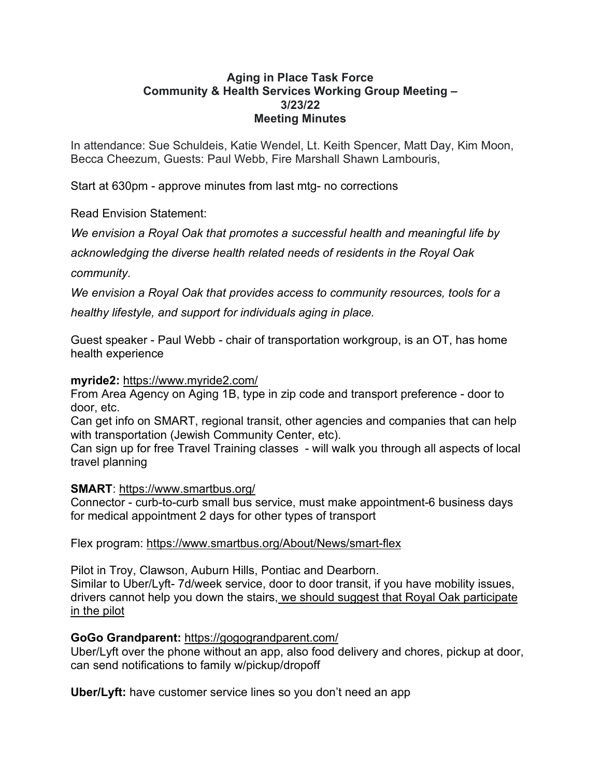# **Aging in Place Task Force Community & Health Services Working Group Meeting – 3/23/22 Meeting Minutes**

In attendance: Sue Schuldeis, Katie Wendel, Lt. Keith Spencer, Matt Day, Kim Moon, Becca Cheezum, Guests: Paul Webb, Fire Marshall Shawn Lambouris,

Start at 630pm - approve minutes from last mtg- no corrections

Read Envision Statement:

*We envision a Royal Oak that promotes a successful health and meaningful life by*

*acknowledging the diverse health related needs of residents in the Royal Oak*

*community.* 

*We envision a Royal Oak that provides access to community resources, tools for a healthy lifestyle, and support for individuals aging in place.* 

Guest speaker - Paul Webb - chair of transportation workgroup, is an OT, has home health experience

# **myride2:** <https://www.myride2.com/>

From Area Agency on Aging 1B, type in zip code and transport preference - door to door, etc.

Can get info on SMART, regional transit, other agencies and companies that can help with transportation (Jewish Community Center, etc).

Can sign up for free Travel Training classes - will walk you through all aspects of local travel planning

### **SMART**:<https://www.smartbus.org/>

Connector - curb-to-curb small bus service, must make appointment-6 business days for medical appointment 2 days for other types of transport

# Flex program: <https://www.smartbus.org/About/News/smart-flex>

Pilot in Troy, Clawson, Auburn Hills, Pontiac and Dearborn. Similar to Uber/Lyft- 7d/week service, door to door transit, if you have mobility issues, drivers cannot help you down the stairs, we should suggest that Royal Oak participate in the pilot

# **GoGo Grandparent:** <https://gogograndparent.com/>

Uber/Lyft over the phone without an app, also food delivery and chores, pickup at door, can send notifications to family w/pickup/dropoff

**Uber/Lyft:** have customer service lines so you don't need an app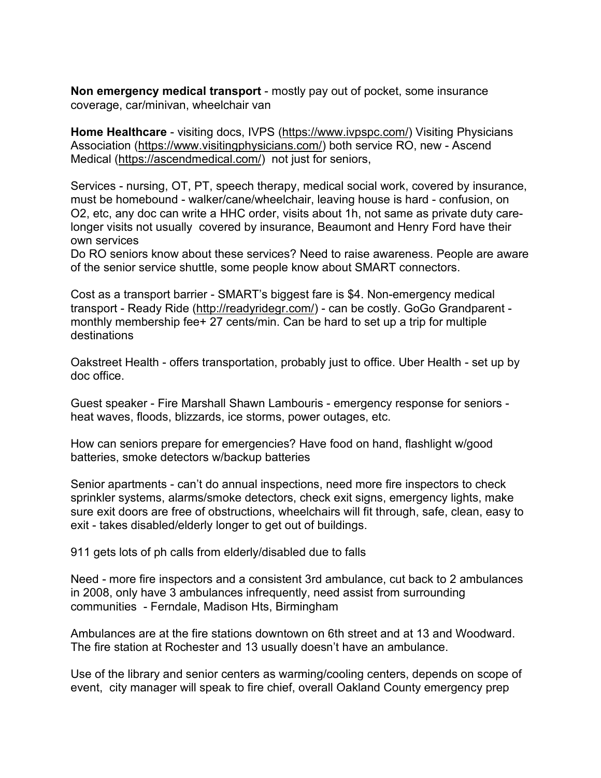**Non emergency medical transport** - mostly pay out of pocket, some insurance coverage, car/minivan, wheelchair van

**Home Healthcare** - visiting docs, IVPS [\(https://www.ivpspc.com/\)](https://www.ivpspc.com/) Visiting Physicians Association [\(https://www.visitingphysicians.com/\)](https://www.visitingphysicians.com/) both service RO, new - Ascend Medical [\(https://ascendmedical.com/\)](https://ascendmedical.com/) not just for seniors,

Services - nursing, OT, PT, speech therapy, medical social work, covered by insurance, must be homebound - walker/cane/wheelchair, leaving house is hard - confusion, on O2, etc, any doc can write a HHC order, visits about 1h, not same as private duty carelonger visits not usually covered by insurance, Beaumont and Henry Ford have their own services

Do RO seniors know about these services? Need to raise awareness. People are aware of the senior service shuttle, some people know about SMART connectors.

Cost as a transport barrier - SMART's biggest fare is \$4. Non-emergency medical transport - Ready Ride [\(http://readyridegr.com/\)](http://readyridegr.com/) - can be costly. GoGo Grandparent monthly membership fee+ 27 cents/min. Can be hard to set up a trip for multiple destinations

Oakstreet Health - offers transportation, probably just to office. Uber Health - set up by doc office.

Guest speaker - Fire Marshall Shawn Lambouris - emergency response for seniors heat waves, floods, blizzards, ice storms, power outages, etc.

How can seniors prepare for emergencies? Have food on hand, flashlight w/good batteries, smoke detectors w/backup batteries

Senior apartments - can't do annual inspections, need more fire inspectors to check sprinkler systems, alarms/smoke detectors, check exit signs, emergency lights, make sure exit doors are free of obstructions, wheelchairs will fit through, safe, clean, easy to exit - takes disabled/elderly longer to get out of buildings.

911 gets lots of ph calls from elderly/disabled due to falls

Need - more fire inspectors and a consistent 3rd ambulance, cut back to 2 ambulances in 2008, only have 3 ambulances infrequently, need assist from surrounding communities - Ferndale, Madison Hts, Birmingham

Ambulances are at the fire stations downtown on 6th street and at 13 and Woodward. The fire station at Rochester and 13 usually doesn't have an ambulance.

Use of the library and senior centers as warming/cooling centers, depends on scope of event, city manager will speak to fire chief, overall Oakland County emergency prep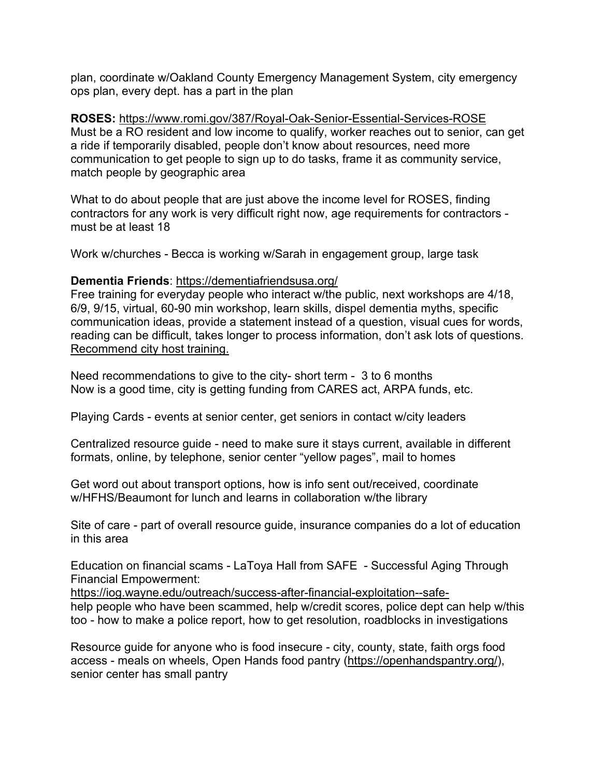plan, coordinate w/Oakland County Emergency Management System, city emergency ops plan, every dept. has a part in the plan

**ROSES:** <https://www.romi.gov/387/Royal-Oak-Senior-Essential-Services-ROSE> Must be a RO resident and low income to qualify, worker reaches out to senior, can get a ride if temporarily disabled, people don't know about resources, need more communication to get people to sign up to do tasks, frame it as community service, match people by geographic area

What to do about people that are just above the income level for ROSES, finding contractors for any work is very difficult right now, age requirements for contractors must be at least 18

Work w/churches - Becca is working w/Sarah in engagement group, large task

# **Dementia Friends**:<https://dementiafriendsusa.org/>

Free training for everyday people who interact w/the public, next workshops are 4/18, 6/9, 9/15, virtual, 60-90 min workshop, learn skills, dispel dementia myths, specific communication ideas, provide a statement instead of a question, visual cues for words, reading can be difficult, takes longer to process information, don't ask lots of questions. Recommend city host training.

Need recommendations to give to the city- short term - 3 to 6 months Now is a good time, city is getting funding from CARES act, ARPA funds, etc.

Playing Cards - events at senior center, get seniors in contact w/city leaders

Centralized resource guide - need to make sure it stays current, available in different formats, online, by telephone, senior center "yellow pages", mail to homes

Get word out about transport options, how is info sent out/received, coordinate w/HFHS/Beaumont for lunch and learns in collaboration w/the library

Site of care - part of overall resource guide, insurance companies do a lot of education in this area

Education on financial scams - LaToya Hall from SAFE - Successful Aging Through Financial Empowerment:

[https://iog.wayne.edu/outreach/success-after-financial-exploitation--safe](https://iog.wayne.edu/outreach/success-after-financial-exploitation--safe-)help people who have been scammed, help w/credit scores, police dept can help w/this too - how to make a police report, how to get resolution, roadblocks in investigations

Resource guide for anyone who is food insecure - city, county, state, faith orgs food access - meals on wheels, Open Hands food pantry [\(https://openhandspantry.org/\)](https://openhandspantry.org/), senior center has small pantry